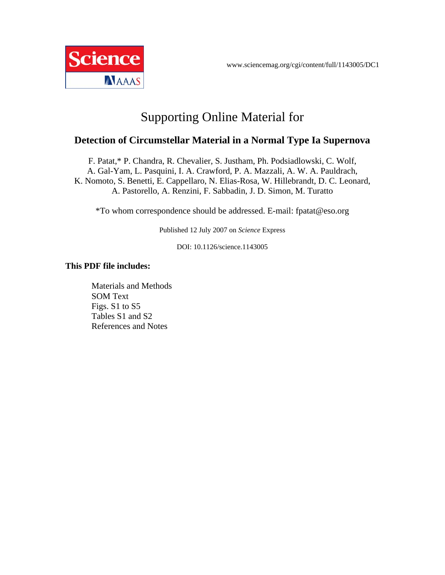

# Supporting Online Material for

## **Detection of Circumstellar Material in a Normal Type Ia Supernova**

F. Patat,\* P. Chandra, R. Chevalier, S. Justham, Ph. Podsiadlowski, C. Wolf, A. Gal-Yam, L. Pasquini, I. A. Crawford, P. A. Mazzali, A. W. A. Pauldrach, K. Nomoto, S. Benetti, E. Cappellaro, N. Elias-Rosa, W. Hillebrandt, D. C. Leonard, A. Pastorello, A. Renzini, F. Sabbadin, J. D. Simon, M. Turatto

\*To whom correspondence should be addressed. E-mail: fpatat@eso.org

Published 12 July 2007 on *Science* Express

DOI: 10.1126/science.1143005

#### **This PDF file includes:**

Materials and Methods SOM Text Figs. S1 to S5 Tables S1 and S2 References and Notes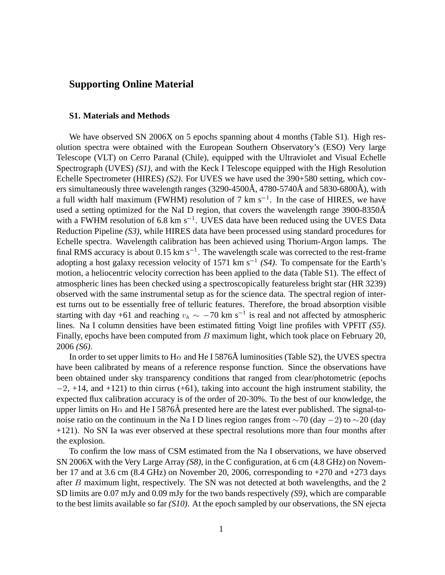### **Supporting Online Material**

#### **S1. Materials and Methods**

We have observed SN 2006X on 5 epochs spanning about 4 months (Table S1). High resolution spectra were obtained with the European Southern Observatory's (ESO) Very large Telescope (VLT) on Cerro Paranal (Chile), equipped with the Ultraviolet and Visual Echelle Spectrograph (UVES) *(S1)*, and with the Keck I Telescope equipped with the High Resolution Echelle Spectrometer (HIRES) *(S2)*. For UVES we have used the 390+580 setting, which covers simultaneously three wavelength ranges  $(3290-4500\text{\AA}, 4780-5740\text{\AA})$  and  $5830-6800\text{\AA})$ , with a full width half maximum (FWHM) resolution of 7 km  $s^{-1}$ . In the case of HIRES, we have used a setting optimized for the NaI D region, that covers the wavelength range 3900-8350Å with a FWHM resolution of 6.8 km  $s^{-1}$ . UVES data have been reduced using the UVES Data Reduction Pipeline *(S3)*, while HIRES data have been processed using standard procedures for Echelle spectra. Wavelength calibration has been achieved using Thorium-Argon lamps. The final RMS accuracy is about 0.15 km  $s^{-1}$ . The wavelength scale was corrected to the rest-frame adopting a host galaxy recession velocity of 1571 km  $s^{-1}$  (S4). To compensate for the Earth's motion, a heliocentric velocity correction has been applied to the data (Table S1). The effect of atmospheric lines has been checked using a spectroscopically featureless bright star (HR 3239) observed with the same instrumental setup as for the science data. The spectral region of interest turns out to be essentially free of telluric features. Therefore, the broad absorption visible starting with day +61 and reaching  $v_h \sim -70$  km s<sup>-1</sup> is real and not affected by atmospheric lines. Na I column densities have been estimated fitting Voigt line profiles with VPFIT *(S5)*. Finally, epochs have been computed from  $B$  maximum light, which took place on February 20, 2006 *(S6)*.

In order to set upper limits to H $\alpha$  and He I 5876Å luminosities (Table S2), the UVES spectra have been calibrated by means of a reference response function. Since the observations have been obtained under sky transparency conditions that ranged from clear/photometric (epochs  $-2$ ,  $+14$ , and  $+121$ ) to thin cirrus ( $+61$ ), taking into account the high instrument stability, the expected flux calibration accuracy is of the order of 20-30%. To the best of our knowledge, the upper limits on H $\alpha$  and He I 5876Å presented here are the latest ever published. The signal-tonoise ratio on the continuum in the Na I D lines region ranges from  $\sim$ 70 (day  $-2$ ) to  $\sim$ 20 (day +121). No SN Ia was ever observed at these spectral resolutions more than four months after the explosion.

To confirm the low mass of CSM estimated from the Na I observations, we have observed SN 2006X with the Very Large Array *(S8)*, in the C configuration, at 6 cm (4.8 GHz) on November 17 and at 3.6 cm (8.4 GHz) on November 20, 2006, corresponding to  $+270$  and  $+273$  days after B maximum light, respectively. The SN was not detected at both wavelengths, and the 2 SD limits are 0.07 mJy and 0.09 mJy for the two bands respectively *(S9)*, which are comparable to the best limits available so far *(S10)*. At the epoch sampled by our observations, the SN ejecta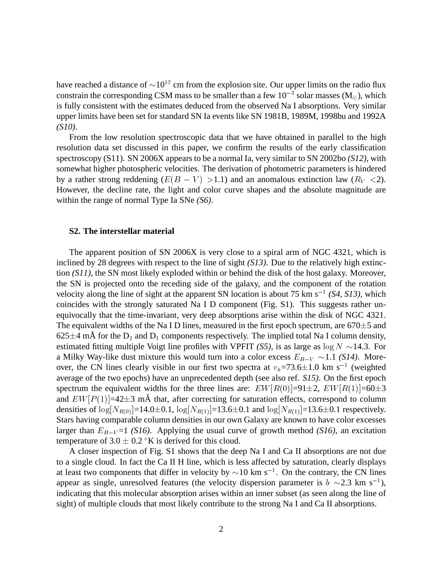have reached a distance of  $\sim 10^{17}$  cm from the explosion site. Our upper limits on the radio flux constrain the corresponding CSM mass to be smaller than a few  $10^{-3}$  solar masses (M<sub>o</sub>), which is fully consistent with the estimates deduced from the observed Na I absorptions. Very similar upper limits have been set for standard SN Ia events like SN 1981B, 1989M, 1998bu and 1992A *(S10)*.

From the low resolution spectroscopic data that we have obtained in parallel to the high resolution data set discussed in this paper, we confirm the results of the early classification spectroscopy (S11). SN 2006X appears to be a normal Ia, very similar to SN 2002bo *(S12)*, with somewhat higher photospheric velocities. The derivation of photometric parameters is hindered by a rather strong reddening  $(E(B - V) > 1.1)$  and an anomalous extinction law  $(R_V < 2)$ . However, the decline rate, the light and color curve shapes and the absolute magnitude are within the range of normal Type Ia SNe *(S6)*.

#### **S2. The interstellar material**

The apparent position of SN 2006X is very close to a spiral arm of NGC 4321, which is inclined by 28 degrees with respect to the line of sight *(S13)*. Due to the relatively high extinction *(S11)*, the SN most likely exploded within or behind the disk of the host galaxy. Moreover, the SN is projected onto the receding side of the galaxy, and the component of the rotation velocity along the line of sight at the apparent SN location is about 75 km  $s^{-1}$  (S4, S13), which coincides with the strongly saturated Na I D component (Fig. S1). This suggests rather unequivocally that the time-invariant, very deep absorptions arise within the disk of NGC 4321. The equivalent widths of the Na I D lines, measured in the first epoch spectrum, are  $670\pm5$  and 625 $\pm$ 4 mÅ for the D<sub>2</sub> and D<sub>1</sub> components respectively. The implied total Na I column density, estimated fitting multiple Voigt line profiles with VPFIT *(S5)*, is as large as  $log N \sim 14.3$ . For a Milky Way-like dust mixture this would turn into a color excess  $E_{B-V} \sim 1.1$  *(S14)*. Moreover, the CN lines clearly visible in our first two spectra at  $v_h = 73.6 \pm 1.0$  km s<sup>-1</sup> (weighted average of the two epochs) have an unprecedented depth (see also ref. *S15)*. On the first epoch spectrum the equivalent widths for the three lines are:  $EW[R(0)]=91\pm2, EW[R(1)]=60\pm3$ and  $EW[P(1)]=42\pm3$  mÅ that, after correcting for saturation effects, correspond to column densities of  $log[N_{R(0)}]=14.0\pm0.1$ ,  $log[N_{R(1)}]=13.6\pm0.1$  and  $log[N_{R(1)}]=13.6\pm0.1$  respectively. Stars having comparable column densities in our own Galaxy are known to have color excesses larger than  $E_{B-V} = 1$  *(S16)*. Applying the usual curve of growth method *(S16)*, an excitation temperature of  $3.0 \pm 0.2$  <sup>o</sup>K is derived for this cloud.

A closer inspection of Fig. S1 shows that the deep Na I and Ca II absorptions are not due to a single cloud. In fact the Ca II H line, which is less affected by saturation, clearly displays at least two components that differ in velocity by  $\sim 10$  km s<sup>-1</sup>. On the contrary, the CN lines appear as single, unresolved features (the velocity dispersion parameter is  $b \sim 2.3$  km s<sup>-1</sup>), indicating that this molecular absorption arises within an inner subset (as seen along the line of sight) of multiple clouds that most likely contribute to the strong Na I and Ca II absorptions.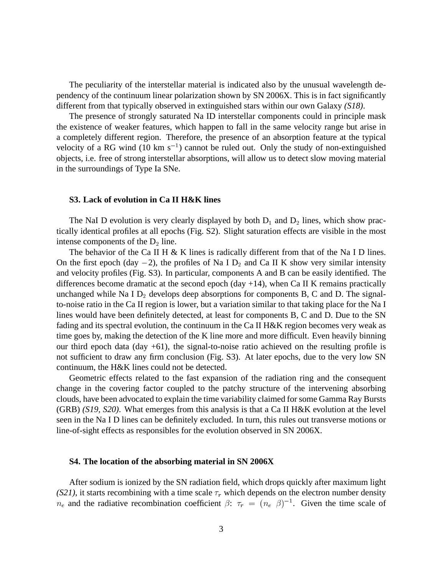The peculiarity of the interstellar material is indicated also by the unusual wavelength dependency of the continuum linear polarization shown by SN 2006X. This is in fact significantly different from that typically observed in extinguished stars within our own Galaxy *(S18)*.

The presence of strongly saturated Na ID interstellar components could in principle mask the existence of weaker features, which happen to fall in the same velocity range but arise in a completely different region. Therefore, the presence of an absorption feature at the typical velocity of a RG wind  $(10 \text{ km s}^{-1})$  cannot be ruled out. Only the study of non-extinguished objects, i.e. free of strong interstellar absorptions, will allow us to detect slow moving material in the surroundings of Type Ia SNe.

#### **S3. Lack of evolution in Ca II H&K lines**

The NaI D evolution is very clearly displayed by both  $D_1$  and  $D_2$  lines, which show practically identical profiles at all epochs (Fig. S2). Slight saturation effects are visible in the most intense components of the  $D_2$  line.

The behavior of the Ca II H  $& K$  lines is radically different from that of the Na I D lines. On the first epoch (day  $-2$ ), the profiles of Na I D<sub>2</sub> and Ca II K show very similar intensity and velocity profiles (Fig. S3). In particular, components A and B can be easily identified. The differences become dramatic at the second epoch (day  $+14$ ), when Ca II K remains practically unchanged while Na I  $D_2$  develops deep absorptions for components B, C and D. The signalto-noise ratio in the Ca II region is lower, but a variation similar to that taking place for the Na I lines would have been definitely detected, at least for components B, C and D. Due to the SN fading and its spectral evolution, the continuum in the Ca II H&K region becomes very weak as time goes by, making the detection of the K line more and more difficult. Even heavily binning our third epoch data  $(\text{day } +61)$ , the signal-to-noise ratio achieved on the resulting profile is not sufficient to draw any firm conclusion (Fig. S3). At later epochs, due to the very low SN continuum, the H&K lines could not be detected.

Geometric effects related to the fast expansion of the radiation ring and the consequent change in the covering factor coupled to the patchy structure of the intervening absorbing clouds, have been advocated to explain the time variability claimed for some Gamma Ray Bursts (GRB) *(S19, S20)*. What emerges from this analysis is that a Ca II H&K evolution at the level seen in the Na I D lines can be definitely excluded. In turn, this rules out transverse motions or line-of-sight effects as responsibles for the evolution observed in SN 2006X.

#### **S4. The location of the absorbing material in SN 2006X**

After sodium is ionized by the SN radiation field, which drops quickly after maximum light *(S21)*, it starts recombining with a time scale  $\tau_r$  which depends on the electron number density  $n_e$  and the radiative recombination coefficient  $\beta$ :  $\tau_r = (n_e \beta)^{-1}$ . Given the time scale of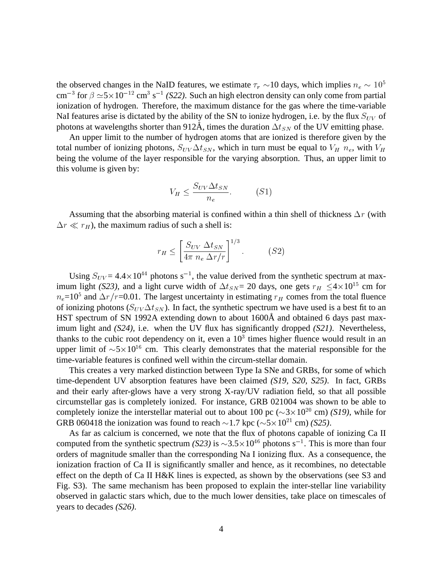the observed changes in the NaID features, we estimate  $\tau_r \sim 10$  days, which implies  $n_e \sim 10^5$ cm<sup>-3</sup> for  $\beta \simeq 5 \times 10^{-12}$  cm<sup>3</sup> s<sup>-1</sup> (S22). Such an high electron density can only come from partial ionization of hydrogen. Therefore, the maximum distance for the gas where the time-variable NaI features arise is dictated by the ability of the SN to ionize hydrogen, i.e. by the flux  $S_{UV}$  of photons at wavelengths shorter than 912Å, times the duration  $\Delta t_{SN}$  of the UV emitting phase.

An upper limit to the number of hydrogen atoms that are ionized is therefore given by the total number of ionizing photons,  $S_{UV}\Delta t_{SN}$ , which in turn must be equal to  $V_H n_e$ , with  $V_H$ being the volume of the layer responsible for the varying absorption. Thus, an upper limit to this volume is given by:

$$
V_H \le \frac{S_{UV}\Delta t_{SN}}{n_e}.\tag{S1}
$$

Assuming that the absorbing material is confined within a thin shell of thickness  $\Delta r$  (with  $\Delta r \ll r_H$ ), the maximum radius of such a shell is:

$$
r_H \le \left[\frac{S_{UV} \Delta t_{SN}}{4\pi n_e \Delta r/r}\right]^{1/3}.
$$
 (S2)

Using  $S_{UV} = 4.4 \times 10^{44}$  photons s<sup>-1</sup>, the value derived from the synthetic spectrum at maximum light *(S23)*, and a light curve width of  $\Delta t_{SN} = 20$  days, one gets  $r_H \leq 4 \times 10^{15}$  cm for  $n_e$ =10<sup>5</sup> and  $\Delta r/r$ =0.01. The largest uncertainty in estimating  $r_H$  comes from the total fluence of ionizing photons  $(S_{UV} \Delta t_{SN})$ . In fact, the synthetic spectrum we have used is a best fit to an HST spectrum of SN 1992A extending down to about 1600Å and obtained 6 days past maximum light and *(S24)*, i.e. when the UV flux has significantly dropped *(S21)*. Nevertheless, thanks to the cubic root dependency on it, even a  $10<sup>3</sup>$  times higher fluence would result in an upper limit of  $\sim 5 \times 10^{16}$  cm. This clearly demonstrates that the material responsible for the time-variable features is confined well within the circum-stellar domain.

This creates a very marked distinction between Type Ia SNe and GRBs, for some of which time-dependent UV absorption features have been claimed *(S19, S20, S25)*. In fact, GRBs and their early after-glows have a very strong X-ray/UV radiation field, so that all possible circumstellar gas is completely ionized. For instance, GRB 021004 was shown to be able to completely ionize the interstellar material out to about 100 pc ( $\sim$ 3 $\times$ 10<sup>20</sup> cm) *(S19)*, while for GRB 060418 the ionization was found to reach  $\sim$ 1.7 kpc ( $\sim$ 5 $\times$ 10<sup>21</sup> cm) *(S25)*.

As far as calcium is concerned, we note that the flux of photons capable of ionizing Ca II computed from the synthetic spectrum *(S23)* is  $\sim$ 3.5 $\times$ 10<sup>46</sup> photons s<sup>-1</sup>. This is more than four orders of magnitude smaller than the corresponding Na I ionizing flux. As a consequence, the ionization fraction of Ca II is significantly smaller and hence, as it recombines, no detectable effect on the depth of Ca II H&K lines is expected, as shown by the observations (see S3 and Fig. S3). The same mechanism has been proposed to explain the inter-stellar line variability observed in galactic stars which, due to the much lower densities, take place on timescales of years to decades *(S26)*.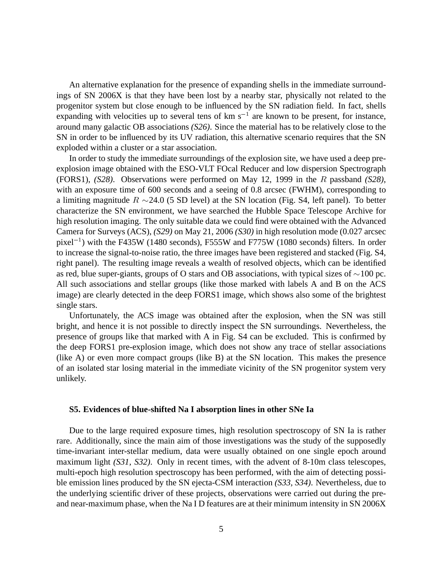An alternative explanation for the presence of expanding shells in the immediate surroundings of SN 2006X is that they have been lost by a nearby star, physically not related to the progenitor system but close enough to be influenced by the SN radiation field. In fact, shells expanding with velocities up to several tens of  $km s^{-1}$  are known to be present, for instance, around many galactic OB associations *(S26)*. Since the material has to be relatively close to the SN in order to be influenced by its UV radiation, this alternative scenario requires that the SN exploded within a cluster or a star association.

In order to study the immediate surroundings of the explosion site, we have used a deep preexplosion image obtained with the ESO-VLT FOcal Reducer and low dispersion Spectrograph (FORS1), *(S28)*. Observations were performed on May 12, 1999 in the R passband *(S28)*, with an exposure time of 600 seconds and a seeing of 0.8 arcsec (FWHM), corresponding to a limiting magnitude  $R \sim 24.0$  (5 SD level) at the SN location (Fig. S4, left panel). To better characterize the SN environment, we have searched the Hubble Space Telescope Archive for high resolution imaging. The only suitable data we could find were obtained with the Advanced Camera for Surveys (ACS), *(S29)* on May 21, 2006 *(S30)* in high resolution mode (0.027 arcsec  $pixel^{-1}$ ) with the F435W (1480 seconds), F555W and F775W (1080 seconds) filters. In order to increase the signal-to-noise ratio, the three images have been registered and stacked (Fig. S4, right panel). The resulting image reveals a wealth of resolved objects, which can be identified as red, blue super-giants, groups of O stars and OB associations, with typical sizes of  $\sim$ 100 pc. All such associations and stellar groups (like those marked with labels A and B on the ACS image) are clearly detected in the deep FORS1 image, which shows also some of the brightest single stars.

Unfortunately, the ACS image was obtained after the explosion, when the SN was still bright, and hence it is not possible to directly inspect the SN surroundings. Nevertheless, the presence of groups like that marked with A in Fig. S4 can be excluded. This is confirmed by the deep FORS1 pre-explosion image, which does not show any trace of stellar associations (like A) or even more compact groups (like B) at the SN location. This makes the presence of an isolated star losing material in the immediate vicinity of the SN progenitor system very unlikely.

#### **S5. Evidences of blue-shifted Na I absorption lines in other SNe Ia**

Due to the large required exposure times, high resolution spectroscopy of SN Ia is rather rare. Additionally, since the main aim of those investigations was the study of the supposedly time-invariant inter-stellar medium, data were usually obtained on one single epoch around maximum light *(S31, S32)*. Only in recent times, with the advent of 8-10m class telescopes, multi-epoch high resolution spectroscopy has been performed, with the aim of detecting possible emission lines produced by the SN ejecta-CSM interaction *(S33, S34)*. Nevertheless, due to the underlying scientific driver of these projects, observations were carried out during the preand near-maximum phase, when the Na I D features are at their minimum intensity in SN 2006X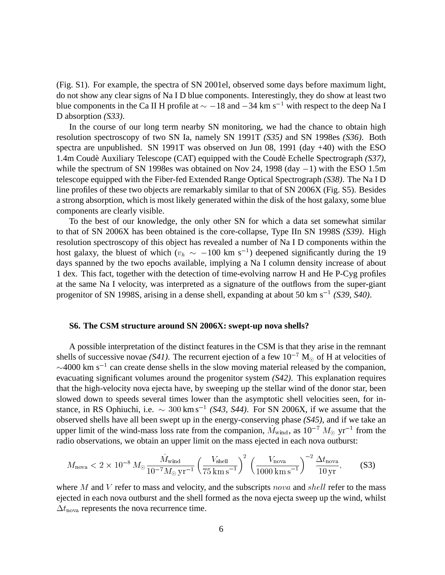(Fig. S1). For example, the spectra of SN 2001el, observed some days before maximum light, do not show any clear signs of Na I D blue components. Interestingly, they do show at least two blue components in the Ca II H profile at  $\sim -18$  and  $-34$  km s<sup>-1</sup> with respect to the deep Na I D absorption *(S33)*.

In the course of our long term nearby SN monitoring, we had the chance to obtain high resolution spectroscopy of two SN Ia, namely SN 1991T *(S35)* and SN 1998es *(S36)*. Both spectra are unpublished. SN 1991T was observed on Jun 08, 1991 (day +40) with the ESO 1.4m Coude Auxiliary Telescope (CAT) equipped with the Coude Echelle Spectrograph (S37), while the spectrum of SN 1998es was obtained on Nov 24, 1998 (day  $-1$ ) with the ESO 1.5m telescope equipped with the Fiber-fed Extended Range Optical Spectrograph *(S38)*. The Na I D line profiles of these two objects are remarkably similar to that of SN 2006X (Fig. S5). Besides a strong absorption, which is most likely generated within the disk of the host galaxy, some blue components are clearly visible.

To the best of our knowledge, the only other SN for which a data set somewhat similar to that of SN 2006X has been obtained is the core-collapse, Type IIn SN 1998S *(S39)*. High resolution spectroscopy of this object has revealed a number of Na I D components within the host galaxy, the bluest of which ( $v_h \sim -100$  km s<sup>-1</sup>) deepened significantly during the 19 days spanned by the two epochs available, implying a Na I column density increase of about 1 dex. This fact, together with the detection of time-evolving narrow H and He P-Cyg profiles at the same Na I velocity, was interpreted as a signature of the outflows from the super-giant progenitor of SN 1998S, arising in a dense shell, expanding at about 50 km s<sup>-1</sup> (S39, S40).

#### **S6. The CSM structure around SN 2006X: swept-up nova shells?**

A possible interpretation of the distinct features in the CSM is that they arise in the remnant shells of successive novae *(S41)*. The recurrent ejection of a few  $10^{-7}$  M<sub>o</sub> of H at velocities of  $\sim$ 4000 km s<sup>-1</sup> can create dense shells in the slow moving material released by the companion, evacuating significant volumes around the progenitor system *(S42)*. This explanation requires that the high-velocity nova ejecta have, by sweeping up the stellar wind of the donor star, been slowed down to speeds several times lower than the asymptotic shell velocities seen, for instance, in RS Ophiuchi, i.e.  $\sim 300 \text{ km s}^{-1}$  (S43, S44). For SN 2006X, if we assume that the observed shells have all been swept up in the energy-conserving phase *(S45)*, and if we take an upper limit of the wind-mass loss rate from the companion,  $\ddot{M}_{wind}$ , as  $10^{-7} M_{\odot}$  yr<sup>-1</sup> from the radio observations, we obtain an upper limit on the mass ejected in each nova outburst:

$$
M_{\text{nova}} < 2 \times 10^{-8} \, M_{\odot} \frac{\dot{M}_{\text{wind}}}{10^{-7} \, M_{\odot} \, \text{yr}^{-1}} \left(\frac{V_{\text{shell}}}{75 \, \text{km s}^{-1}}\right)^2 \, \left(\frac{V_{\text{nova}}}{1000 \, \text{km s}^{-1}}\right)^{-2} \frac{\Delta t_{\text{nova}}}{10 \, \text{yr}}, \tag{S3}
$$

where M and V refer to mass and velocity, and the subscripts nova and shell refer to the mass ejected in each nova outburst and the shell formed as the nova ejecta sweep up the wind, whilst  $\Delta t_{\text{nova}}$  represents the nova recurrence time.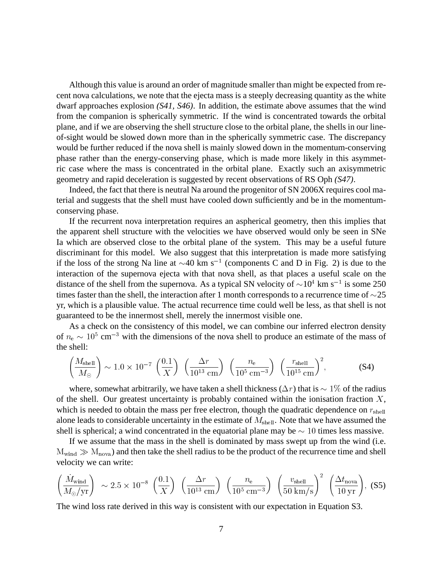Although this value is around an order of magnitude smaller than might be expected from recent nova calculations, we note that the ejecta mass is a steeply decreasing quantity as the white dwarf approaches explosion *(S41, S46)*. In addition, the estimate above assumes that the wind from the companion is spherically symmetric. If the wind is concentrated towards the orbital plane, and if we are observing the shell structure close to the orbital plane, the shells in our lineof-sight would be slowed down more than in the spherically symmetric case. The discrepancy would be further reduced if the nova shell is mainly slowed down in the momentum-conserving phase rather than the energy-conserving phase, which is made more likely in this asymmetric case where the mass is concentrated in the orbital plane. Exactly such an axisymmetric geometry and rapid deceleration is suggested by recent observations of RS Oph *(S47)*.

Indeed, the fact that there is neutral Na around the progenitor of SN 2006X requires cool material and suggests that the shell must have cooled down sufficiently and be in the momentumconserving phase.

If the recurrent nova interpretation requires an aspherical geometry, then this implies that the apparent shell structure with the velocities we have observed would only be seen in SNe Ia which are observed close to the orbital plane of the system. This may be a useful future discriminant for this model. We also suggest that this interpretation is made more satisfying if the loss of the strong Na line at  $\sim$  40 km s<sup>-1</sup> (components C and D in Fig. 2) is due to the interaction of the supernova ejecta with that nova shell, as that places a useful scale on the distance of the shell from the supernova. As a typical SN velocity of  $\sim 10^4$  km s<sup>-1</sup> is some 250 times faster than the shell, the interaction after 1 month corresponds to a recurrence time of  $\sim$ 25 yr, which is a plausible value. The actual recurrence time could well be less, as that shell is not guaranteed to be the innermost shell, merely the innermost visible one.

As a check on the consistency of this model, we can combine our inferred electron density of  $n_e \sim 10^5$  cm<sup>-3</sup> with the dimensions of the nova shell to produce an estimate of the mass of the shell:

$$
\left(\frac{M_{\rm shell}}{M_{\odot}}\right) \sim 1.0 \times 10^{-7} \left(\frac{0.1}{X}\right) \left(\frac{\Delta r}{10^{13} \text{ cm}}\right) \left(\frac{n_{\rm e}}{10^5 \text{ cm}^{-3}}\right) \left(\frac{r_{\rm shell}}{10^{15} \text{ cm}}\right)^2, \tag{S4}
$$

where, somewhat arbitrarily, we have taken a shell thickness  $(\Delta r)$  that is  $\sim 1\%$  of the radius of the shell. Our greatest uncertainty is probably contained within the ionisation fraction  $X$ , which is needed to obtain the mass per free electron, though the quadratic dependence on  $r_{shell}$ alone leads to considerable uncertainty in the estimate of  $M_{shell}$ . Note that we have assumed the shell is spherical; a wind concentrated in the equatorial plane may be  $\sim 10$  times less massive.

If we assume that the mass in the shell is dominated by mass swept up from the wind (i.e.  $M_{wind} \gg M_{nova}$ ) and then take the shell radius to be the product of the recurrence time and shell velocity we can write:

$$
\left(\frac{\dot{M}_{\text{wind}}}{M_{\odot}/\text{yr}}\right) \sim 2.5 \times 10^{-8} \left(\frac{0.1}{X}\right) \left(\frac{\Delta r}{10^{13} \text{ cm}}\right) \left(\frac{n_{\text{e}}}{10^5 \text{ cm}^{-3}}\right) \left(\frac{v_{\text{shell}}}{50 \text{ km/s}}\right)^2 \left(\frac{\Delta t_{\text{nova}}}{10 \text{ yr}}\right), (S5)
$$

The wind loss rate derived in this way is consistent with our expectation in Equation S3.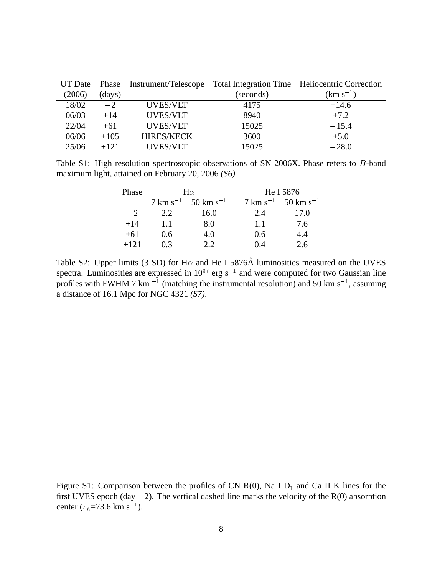| UT Date | Phase  |                   |           | Instrument/Telescope Total Integration Time Heliocentric Correction |
|---------|--------|-------------------|-----------|---------------------------------------------------------------------|
| (2006)  | (days) |                   | (seconds) | $(km s^{-1})$                                                       |
| 18/02   | $-2$   | UVES/VLT          | 4175      | $+14.6$                                                             |
| 06/03   | $+14$  | <b>UVES/VLT</b>   | 8940      | $+7.2$                                                              |
| 22/04   | $+61$  | <b>UVES/VLT</b>   | 15025     | $-15.4$                                                             |
| 06/06   | $+105$ | <b>HIRES/KECK</b> | 3600      | $+5.0$                                                              |
| 25/06   | $+121$ | <b>UVES/VLT</b>   | 15025     | $-28.0$                                                             |

Table S1: High resolution spectroscopic observations of SN 2006X. Phase refers to B-band maximum light, attained on February 20, 2006 *(S6)*

| Phase  | $H\alpha$         |                        |  | He I 5876             |                        |  |
|--------|-------------------|------------------------|--|-----------------------|------------------------|--|
|        | $7 \rm km s^{-1}$ | $50 \text{ km s}^{-1}$ |  | $7 \rm \ km \ s^{-1}$ | $50 \text{ km s}^{-1}$ |  |
| $-2$   | 2.2.              | 16.0                   |  | 2.4                   | 17.0                   |  |
| $+14$  | 1.1               | 8.0                    |  | 1.1                   | 7.6                    |  |
| $+61$  | 0.6               | 4.0                    |  | 0.6                   | 4.4                    |  |
| $+121$ | 0 3               | $2.2^{\circ}$          |  | $\overline{)4}$       | 2.6                    |  |

Table S2: Upper limits (3 SD) for H $\alpha$  and He I 5876Å luminosities measured on the UVES spectra. Luminosities are expressed in  $10^{37}$  erg s<sup>-1</sup> and were computed for two Gaussian line profiles with FWHM 7 km<sup> $-1$ </sup> (matching the instrumental resolution) and 50 km s<sup>-1</sup>, assuming a distance of 16.1 Mpc for NGC 4321 *(S7)*.

Figure S1: Comparison between the profiles of CN  $R(0)$ , Na I  $D_1$  and Ca II K lines for the first UVES epoch (day  $-2$ ). The vertical dashed line marks the velocity of the R(0) absorption center  $(v_h=73.6 \text{ km s}^{-1})$ .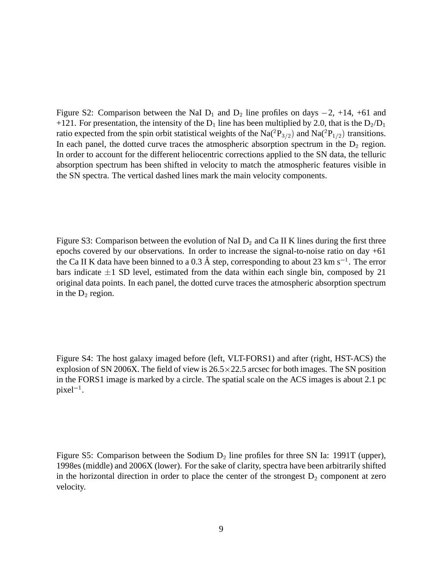Figure S2: Comparison between the NaI  $D_1$  and  $D_2$  line profiles on days  $-2$ ,  $+14$ ,  $+61$  and +121. For presentation, the intensity of the  $D_1$  line has been multiplied by 2.0, that is the  $D_2/D_1$ ratio expected from the spin orbit statistical weights of the  $\text{Na}(^{2}P_{3/2})$  and  $\text{Na}(^{2}P_{1/2})$  transitions. In each panel, the dotted curve traces the atmospheric absorption spectrum in the  $D_2$  region. In order to account for the different heliocentric corrections applied to the SN data, the telluric absorption spectrum has been shifted in velocity to match the atmospheric features visible in the SN spectra. The vertical dashed lines mark the main velocity components.

Figure S3: Comparison between the evolution of NaI  $D_2$  and Ca II K lines during the first three epochs covered by our observations. In order to increase the signal-to-noise ratio on day +61 the Ca II K data have been binned to a 0.3 Å step, corresponding to about 23 km s<sup>-1</sup>. The error bars indicate  $\pm 1$  SD level, estimated from the data within each single bin, composed by 21 original data points. In each panel, the dotted curve traces the atmospheric absorption spectrum in the  $D_2$  region.

Figure S4: The host galaxy imaged before (left, VLT-FORS1) and after (right, HST-ACS) the explosion of SN 2006X. The field of view is  $26.5 \times 22.5$  arcsec for both images. The SN position in the FORS1 image is marked by a circle. The spatial scale on the ACS images is about 2.1 pc  $pixel^{-1}$ .

Figure S5: Comparison between the Sodium  $D_2$  line profiles for three SN Ia: 1991T (upper), 1998es (middle) and 2006X (lower). For the sake of clarity, spectra have been arbitrarily shifted in the horizontal direction in order to place the center of the strongest  $D_2$  component at zero velocity.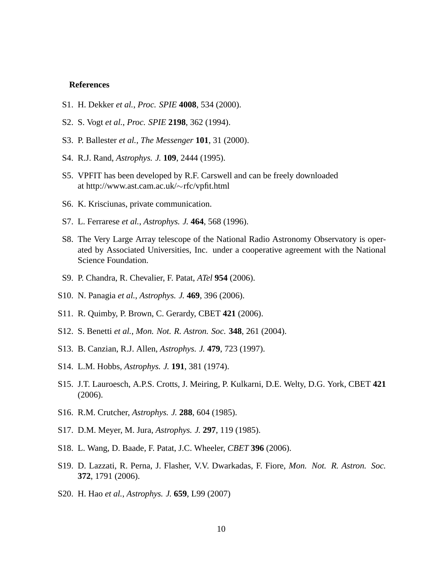#### **References**

- S1. H. Dekker *et al.*, *Proc. SPIE* **4008**, 534 (2000).
- S2. S. Vogt *et al.*, *Proc. SPIE* **2198**, 362 (1994).
- S3. P. Ballester *et al.*, *The Messenger* **101**, 31 (2000).
- S4. R.J. Rand, *Astrophys. J.* **109**, 2444 (1995).
- S5. VPFIT has been developed by R.F. Carswell and can be freely downloaded at http://www.ast.cam.ac.uk/~rfc/vpfit.html
- S6. K. Krisciunas, private communication.
- S7. L. Ferrarese *et al.*, *Astrophys. J.* **464**, 568 (1996).
- S8. The Very Large Array telescope of the National Radio Astronomy Observatory is operated by Associated Universities, Inc. under a cooperative agreement with the National Science Foundation.
- S9. P. Chandra, R. Chevalier, F. Patat, *ATel* **954** (2006).
- S10. N. Panagia *et al.*, *Astrophys. J.* **469**, 396 (2006).
- S11. R. Quimby, P. Brown, C. Gerardy, CBET **421** (2006).
- S12. S. Benetti *et al.*, *Mon. Not. R. Astron. Soc.* **348**, 261 (2004).
- S13. B. Canzian, R.J. Allen, *Astrophys. J.* **479**, 723 (1997).
- S14. L.M. Hobbs, *Astrophys. J.* **191**, 381 (1974).
- S15. J.T. Lauroesch, A.P.S. Crotts, J. Meiring, P. Kulkarni, D.E. Welty, D.G. York, CBET **421** (2006).
- S16. R.M. Crutcher, *Astrophys. J.* **288**, 604 (1985).
- S17. D.M. Meyer, M. Jura, *Astrophys. J.* **297**, 119 (1985).
- S18. L. Wang, D. Baade, F. Patat, J.C. Wheeler, *CBET* **396** (2006).
- S19. D. Lazzati, R. Perna, J. Flasher, V.V. Dwarkadas, F. Fiore, *Mon. Not. R. Astron. Soc.* **372**, 1791 (2006).
- S20. H. Hao *et al.*, *Astrophys. J.* **659**, L99 (2007)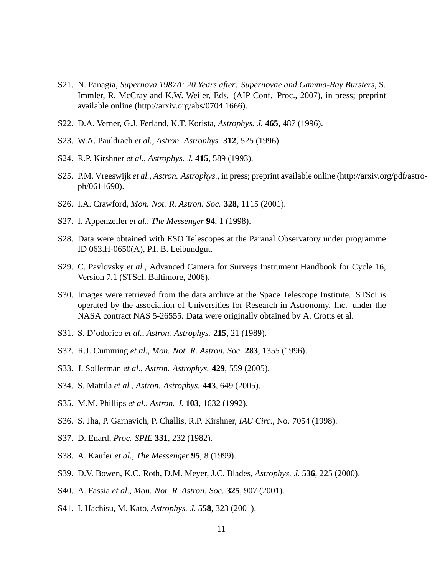- S21. N. Panagia, *Supernova 1987A: 20 Years after: Supernovae and Gamma-Ray Bursters*, S. Immler, R. McCray and K.W. Weiler, Eds. (AIP Conf. Proc., 2007), in press; preprint available online (http://arxiv.org/abs/0704.1666).
- S22. D.A. Verner, G.J. Ferland, K.T. Korista, *Astrophys. J.* **465**, 487 (1996).
- S23. W.A. Pauldrach *et al.*, *Astron. Astrophys.* **312**, 525 (1996).
- S24. R.P. Kirshner *et al.*, *Astrophys. J.* **415**, 589 (1993).
- S25. P.M. Vreeswijk *et al.*, *Astron. Astrophys.*, in press; preprint available online (http://arxiv.org/pdf/astroph/0611690).
- S26. I.A. Crawford, *Mon. Not. R. Astron. Soc.* **328**, 1115 (2001).
- S27. I. Appenzeller *et al.*, *The Messenger* **94**, 1 (1998).
- S28. Data were obtained with ESO Telescopes at the Paranal Observatory under programme ID 063.H-0650(A), P.I. B. Leibundgut.
- S29. C. Pavlovsky *et al.*, Advanced Camera for Surveys Instrument Handbook for Cycle 16, Version 7.1 (STScI, Baltimore, 2006).
- S30. Images were retrieved from the data archive at the Space Telescope Institute. STScI is operated by the association of Universities for Research in Astronomy, Inc. under the NASA contract NAS 5-26555. Data were originally obtained by A. Crotts et al.
- S31. S. D'odorico *et al.*, *Astron. Astrophys.* **215**, 21 (1989).
- S32. R.J. Cumming *et al.*, *Mon. Not. R. Astron. Soc.* **283**, 1355 (1996).
- S33. J. Sollerman *et al.*, *Astron. Astrophys.* **429**, 559 (2005).
- S34. S. Mattila *et al.*, *Astron. Astrophys.* **443**, 649 (2005).
- S35. M.M. Phillips *et al.*, *Astron. J.* **103**, 1632 (1992).
- S36. S. Jha, P. Garnavich, P. Challis, R.P. Kirshner, *IAU Circ.*, No. 7054 (1998).
- S37. D. Enard, *Proc. SPIE* **331**, 232 (1982).
- S38. A. Kaufer *et al.*, *The Messenger* **95**, 8 (1999).
- S39. D.V. Bowen, K.C. Roth, D.M. Meyer, J.C. Blades, *Astrophys. J.* **536**, 225 (2000).
- S40. A. Fassia *et al.*, *Mon. Not. R. Astron. Soc.* **325**, 907 (2001).
- S41. I. Hachisu, M. Kato, *Astrophys. J.* **558**, 323 (2001).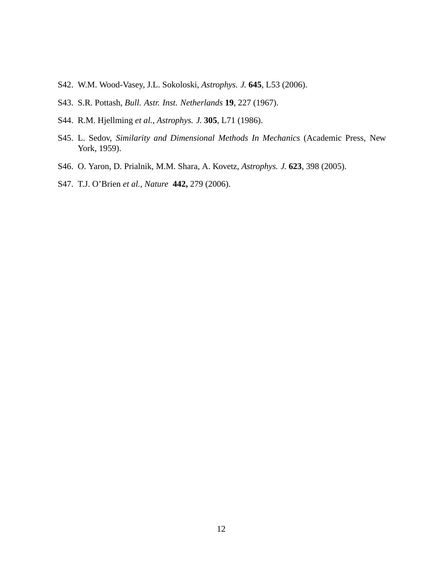- S42. W.M. Wood-Vasey, J.L. Sokoloski, *Astrophys. J.* **645**, L53 (2006).
- S43. S.R. Pottash, *Bull. Astr. Inst. Netherlands* **19**, 227 (1967).
- S44. R.M. Hjellming *et al.*, *Astrophys. J.* **305**, L71 (1986).
- S45. L. Sedov, *Similarity and Dimensional Methods In Mechanics* (Academic Press, New York, 1959).
- S46. O. Yaron, D. Prialnik, M.M. Shara, A. Kovetz, *Astrophys. J.* **623**, 398 (2005).
- S47. T.J. O'Brien *et al.*, *Nature* **442,** 279 (2006).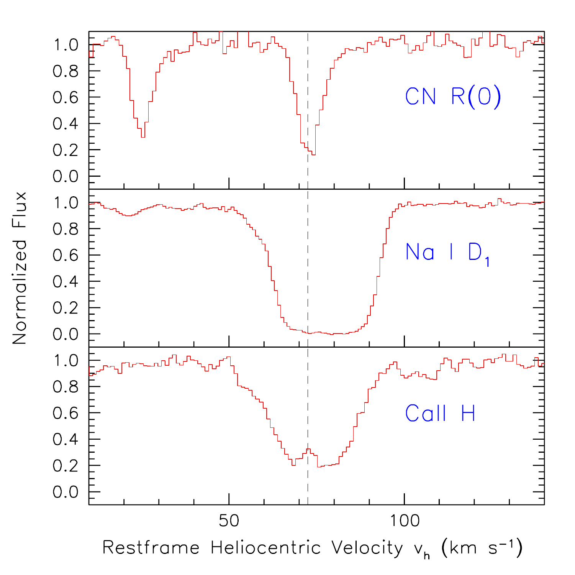

Normalized<br>Flux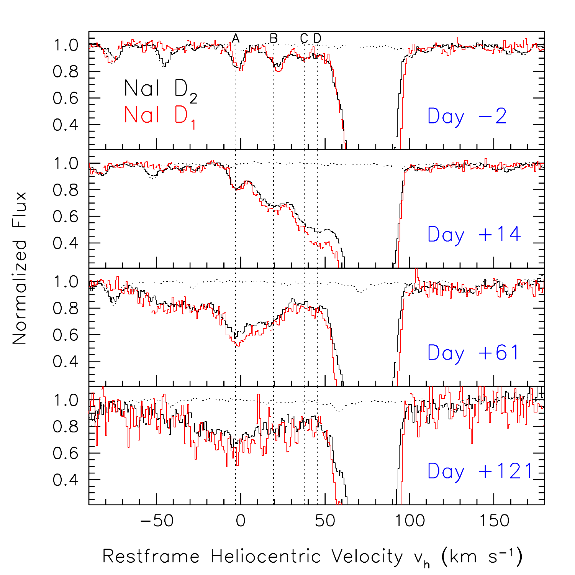

Normalized<br>Flux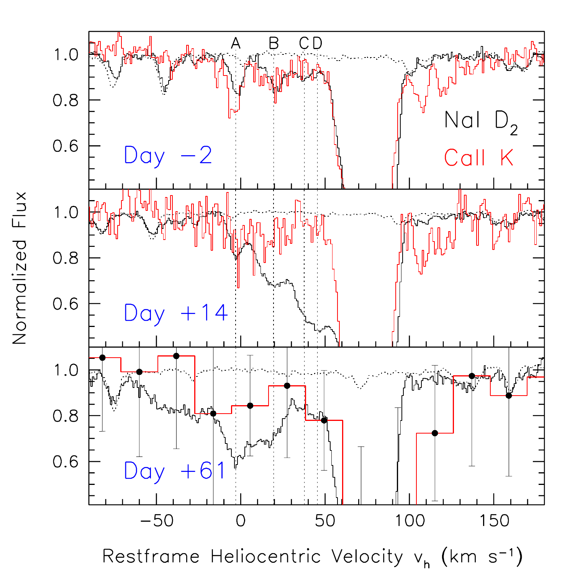Normalized<br>Flux

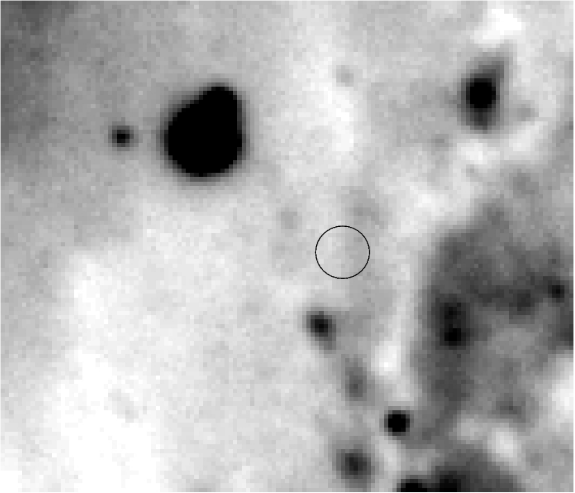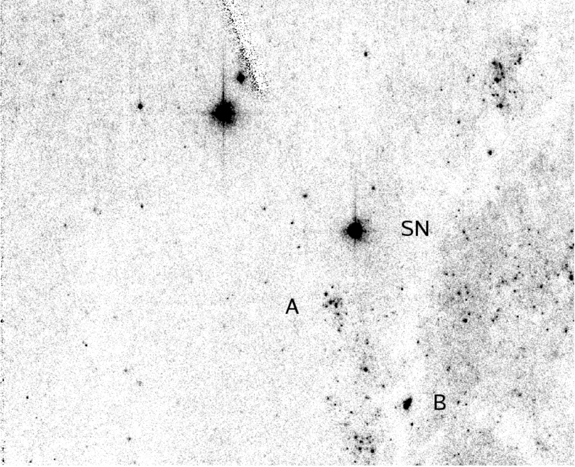